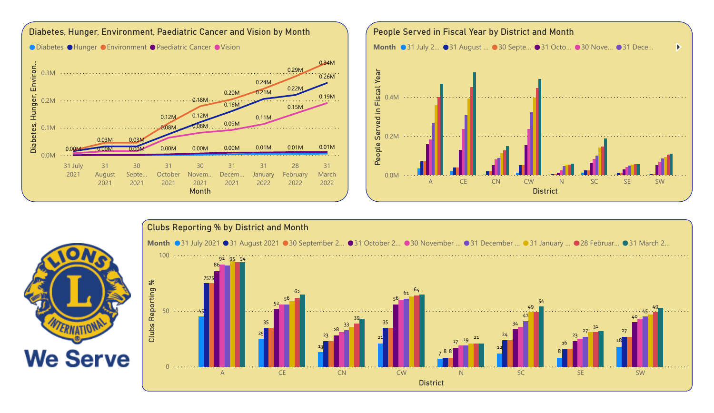



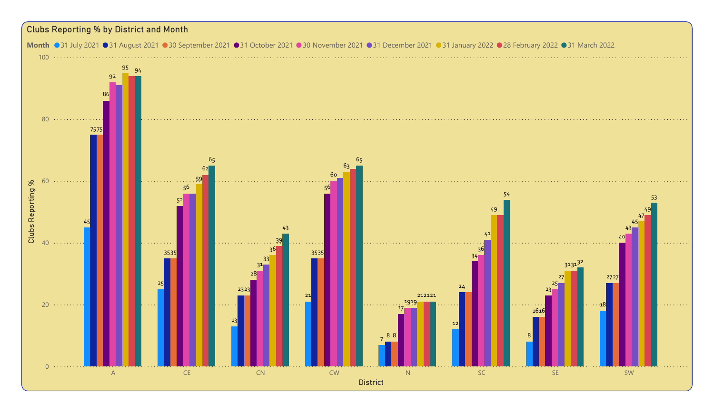## Clubs Reporting % by District and Month

Month ●31 July 2021 ●31 August 2021 ●30 September 2021 ●31 October 2021 ●30 November 2021 ●31 December 2021 ●31 January 2022 ●28 February 2022 ●31 March 2022

Power BI Desktop

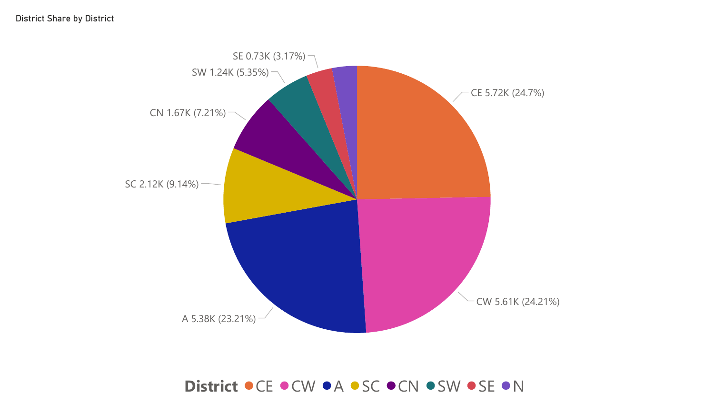

## District  $\bullet$  CE  $\bullet$  CW  $\bullet$  A  $\bullet$  SC  $\bullet$  CN  $\bullet$  SW  $\bullet$  SE  $\bullet$  N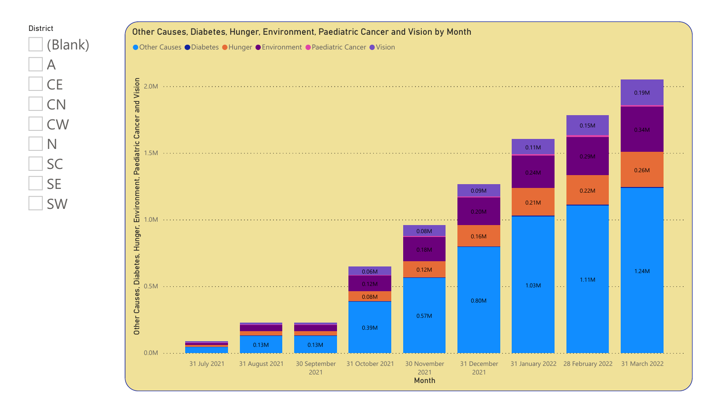

District

 $\Box$  A

N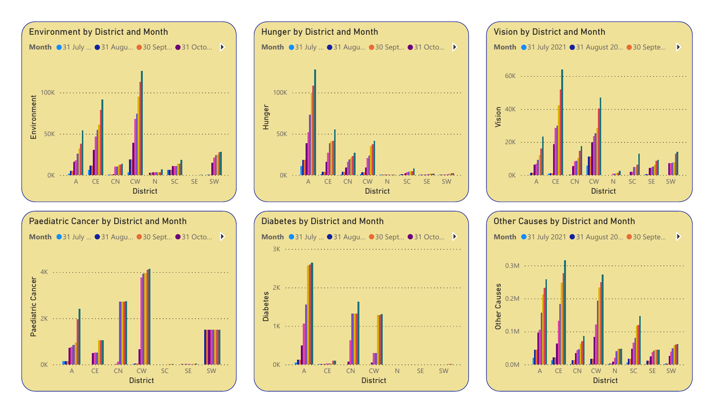









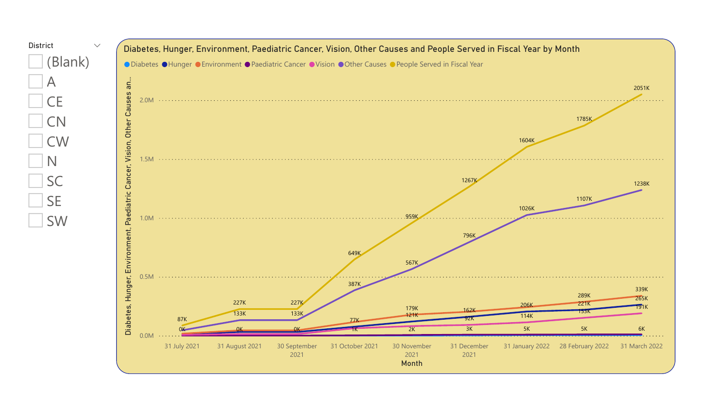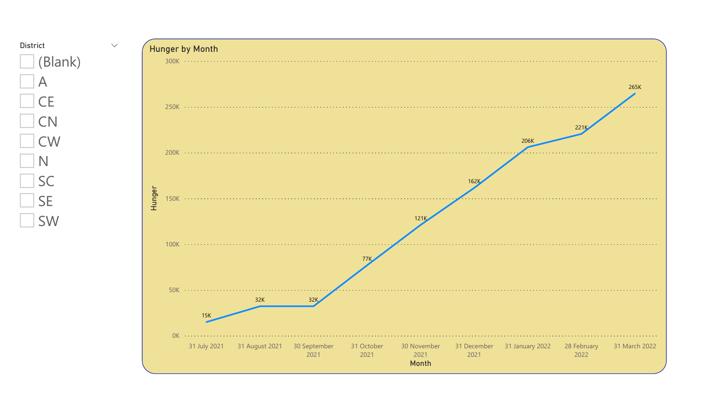

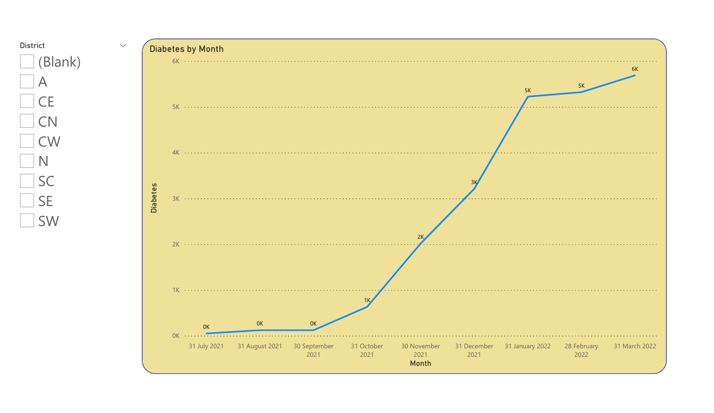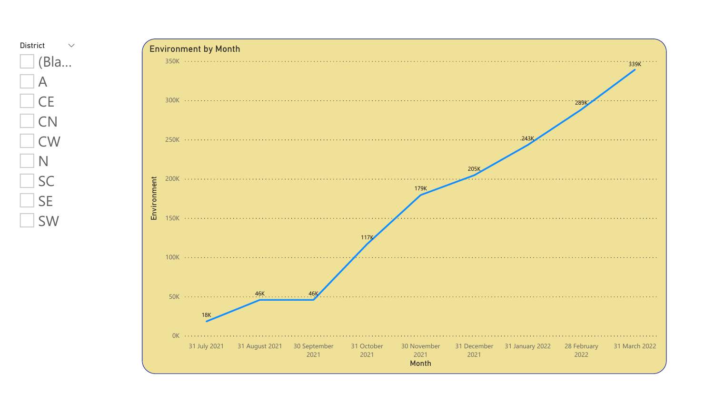

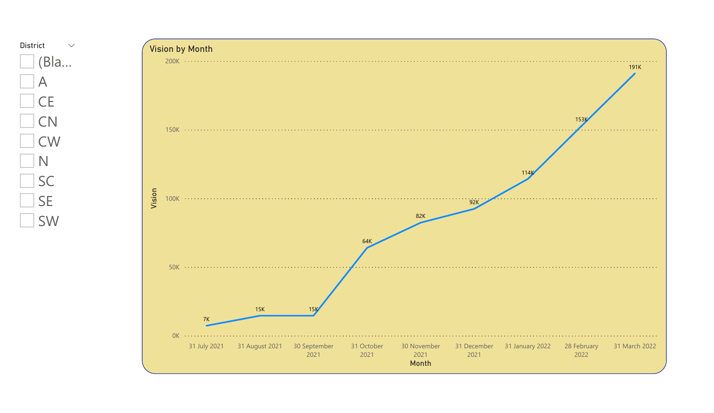